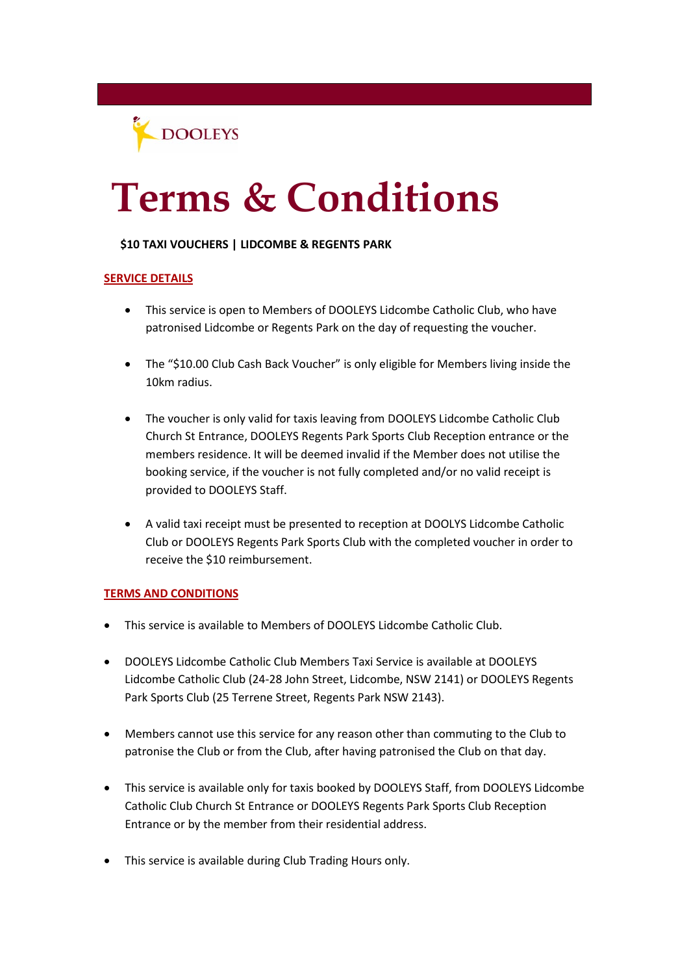

# **Terms & Conditions**

### **\$10 TAXI VOUCHERS | LIDCOMBE & REGENTS PARK**

### **SERVICE DETAILS**

- This service is open to Members of DOOLEYS Lidcombe Catholic Club, who have patronised Lidcombe or Regents Park on the day of requesting the voucher.
- The "\$10.00 Club Cash Back Voucher" is only eligible for Members living inside the 10km radius.
- The voucher is only valid for taxis leaving from DOOLEYS Lidcombe Catholic Club Church St Entrance, DOOLEYS Regents Park Sports Club Reception entrance or the members residence. It will be deemed invalid if the Member does not utilise the booking service, if the voucher is not fully completed and/or no valid receipt is provided to DOOLEYS Staff.
- A valid taxi receipt must be presented to reception at DOOLYS Lidcombe Catholic Club or DOOLEYS Regents Park Sports Club with the completed voucher in order to receive the \$10 reimbursement.

#### **TERMS AND CONDITIONS**

- This service is available to Members of DOOLEYS Lidcombe Catholic Club.
- DOOLEYS Lidcombe Catholic Club Members Taxi Service is available at DOOLEYS Lidcombe Catholic Club (24-28 John Street, Lidcombe, NSW 2141) or DOOLEYS Regents Park Sports Club (25 Terrene Street, Regents Park NSW 2143).
- Members cannot use this service for any reason other than commuting to the Club to patronise the Club or from the Club, after having patronised the Club on that day.
- This service is available only for taxis booked by DOOLEYS Staff, from DOOLEYS Lidcombe Catholic Club Church St Entrance or DOOLEYS Regents Park Sports Club Reception Entrance or by the member from their residential address.
- This service is available during Club Trading Hours only.